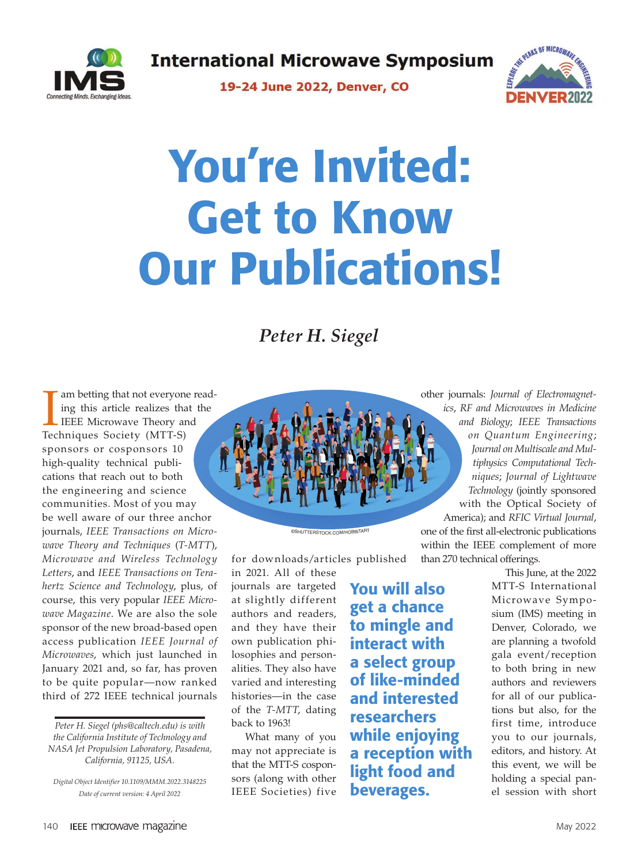**International Microwave Symposium** 



19-24 June 2022, Denver, CO



## You're Invited: Get to Know Our Publications!

*Peter H. Siegel*

Im betting that not everyone<br>ing this article realizes that<br>IEEE Microwave Theory and<br>Techniques Society (MTT-S) am betting that not everyone reading this article realizes that the IEEE Microwave Theory and sponsors or cosponsors 10 high-quality technical publications that reach out to both the engineering and science communities. Most of you may be well aware of our three anchor journals, *IEEE Transactions on Microwave Theory and Techniques* (*T-MTT*), *Microwave and Wireless Technology Letters*, and *IEEE Transactions on Terahertz Science and Technology*, plus, of course, this very popular *IEEE Microwave Magazine*. We are also the sole sponsor of the new broad-based open access publication *IEEE Journal of Microwaves*, which just launched in January 2021 and, so far, has proven to be quite popular—now ranked third of 272 IEEE technical journals

*Peter H. Siegel (phs@caltech.edu) is with the California Institute of Technology and NASA Jet Propulsion Laboratory, Pasadena, California, 91125, USA.*

*Digital Object Identifier 10.1109/MMM.2022.3148225 Date of current version: 4 April 2022*



for downloads/articles published in 2021. All of these

©SHUTTERSTOCK.COM/HOBBITAR<sup>T</sup>

journals are targeted at slightly different authors and readers, and they have their own publication philosophies and personalities. They also have varied and interesting histories—in the case of the *T-MTT*, dating back to 1963!

What many of you may not appreciate is that the MTT-S cosponsors (along with other IEEE Societies) five You will also get a chance to mingle and interact with a select group of like-minded and interested researchers while enjoying a reception with light food and beverages.

other journals: *Journal of Electromagnetics*, *RF and Microwaves in Medicine and Biology*; *IEEE Transactions on Quantum Engineering*; *Journal on Multiscale and Multiphysics Computational Techniques*; *Journal of Lightwave Technology* (jointly sponsored with the Optical Society of America); and *RFIC Virtual Journal*, one of the first all-electronic publications within the IEEE complement of more than 270 technical offerings.

This June, at the 2022 MTT-S International Microwave Symposium (IMS) meeting in Denver, Colorado, we are planning a twofold gala event/reception to both bring in new authors and reviewers for all of our publications but also, for the first time, introduce you to our journals, editors, and history. At this event, we will be holding a special panel session with short